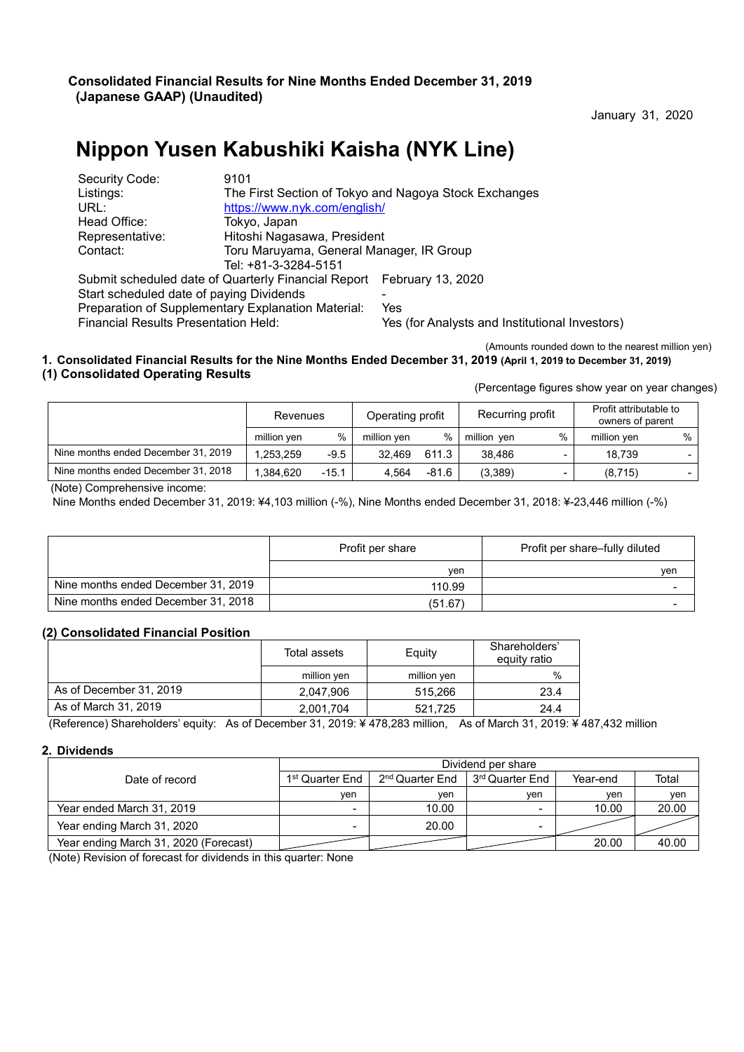January 31, 2020

# **Nippon Yusen Kabushiki Kaisha (NYK Line)**

| Security Code:                                     | 9101                                                                  |                                                |  |  |  |  |
|----------------------------------------------------|-----------------------------------------------------------------------|------------------------------------------------|--|--|--|--|
| Listings:                                          | The First Section of Tokyo and Nagoya Stock Exchanges                 |                                                |  |  |  |  |
| URL:                                               |                                                                       | https://www.nyk.com/english/                   |  |  |  |  |
| Head Office:                                       | Tokyo, Japan                                                          |                                                |  |  |  |  |
| Representative:                                    | Hitoshi Nagasawa, President                                           |                                                |  |  |  |  |
| Contact:                                           | Toru Maruyama, General Manager, IR Group                              |                                                |  |  |  |  |
|                                                    | Tel: +81-3-3284-5151                                                  |                                                |  |  |  |  |
|                                                    | Submit scheduled date of Quarterly Financial Report February 13, 2020 |                                                |  |  |  |  |
| Start scheduled date of paying Dividends           |                                                                       |                                                |  |  |  |  |
| Preparation of Supplementary Explanation Material: |                                                                       | Yes                                            |  |  |  |  |
| <b>Financial Results Presentation Held:</b>        |                                                                       | Yes (for Analysts and Institutional Investors) |  |  |  |  |
|                                                    |                                                                       |                                                |  |  |  |  |

(Amounts rounded down to the nearest million yen)

#### **1. Consolidated Financial Results for the Nine Months Ended December 31, 2019 (April 1, 2019 to December 31, 2019) (1) Consolidated Operating Results**

(Percentage figures show year on year changes)

|                                     | Revenues    |         | Operating profit |       | Recurring profit |      | Profit attributable to<br>owners of parent |      |
|-------------------------------------|-------------|---------|------------------|-------|------------------|------|--------------------------------------------|------|
|                                     | million ven | $\%$    | million ven      | %     | million ven      | $\%$ | million ven                                | $\%$ |
| Nine months ended December 31, 2019 | 1.253.259   | $-9.5$  | 32.469           | 611.3 | 38.486           |      | 18.739                                     |      |
| Nine months ended December 31, 2018 | .384.620    | $-15.1$ | 4.564            | -81.6 | (3,389)          |      | (8,715)                                    |      |

(Note) Comprehensive income:

Nine Months ended December 31, 2019: ¥4,103 million (-%), Nine Months ended December 31, 2018: ¥-23,446 million (-%)

|                                     | Profit per share | Profit per share-fully diluted |
|-------------------------------------|------------------|--------------------------------|
|                                     | ven              | ven                            |
| Nine months ended December 31, 2019 | 110.99           |                                |
| Nine months ended December 31, 2018 | (51.67)          |                                |

#### **(2) Consolidated Financial Position**

|                         | Total assets | Equity      | Shareholders'<br>equity ratio |
|-------------------------|--------------|-------------|-------------------------------|
|                         | million yen  | million yen | %                             |
| As of December 31, 2019 | 2.047.906    | 515,266     | 23.4                          |
| As of March 31, 2019    | 2.001.704    | 521.725     | 24.4                          |

(Reference) Shareholders' equity: As of December 31, 2019: ¥ 478,283 million, As of March 31, 2019: ¥ 487,432 million

#### **2. Dividends**

|                                       | Dividend per share |                             |                             |          |       |  |  |  |  |
|---------------------------------------|--------------------|-----------------------------|-----------------------------|----------|-------|--|--|--|--|
| Date of record                        | 1st Quarter End    | 2 <sup>nd</sup> Quarter End | 3 <sup>rd</sup> Quarter End | Year-end | Total |  |  |  |  |
|                                       | ven                | ven                         | ven                         | ven      | ven   |  |  |  |  |
| Year ended March 31, 2019             |                    | 10.00                       | $\overline{\phantom{0}}$    | 10.00    | 20.00 |  |  |  |  |
| Year ending March 31, 2020            |                    | 20.00                       | $\qquad \qquad$             |          |       |  |  |  |  |
| Year ending March 31, 2020 (Forecast) |                    |                             |                             | 20.00    | 40.00 |  |  |  |  |

(Note) Revision of forecast for dividends in this quarter: None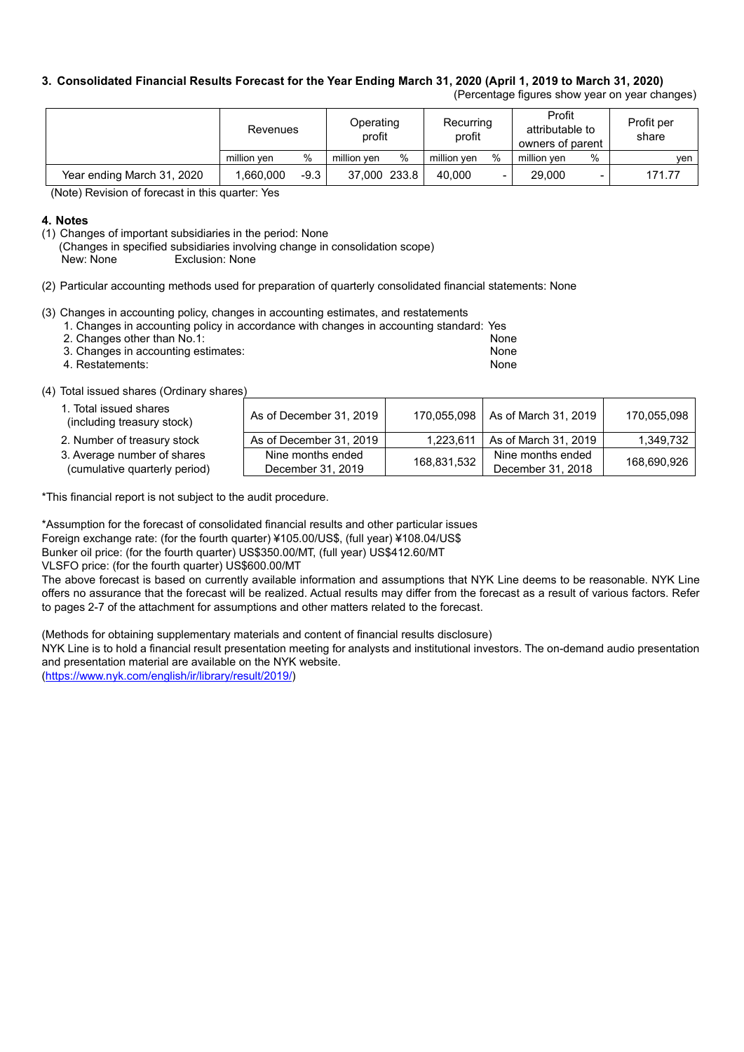#### 3. Consolidated Financial Results Forecast for the Year Ending March 31, 2020 (April 1, 2019 to March 31, 2020)

(Percentage figures show year on year changes)

|                            | Revenues    |        | Operating<br>profit |      | Recurring<br>profit |      | Profit<br>attributable to<br>owners of parent |      | Profit per<br>share |
|----------------------------|-------------|--------|---------------------|------|---------------------|------|-----------------------------------------------|------|---------------------|
|                            | million ven | %      | million ven         | $\%$ | million ven         | $\%$ | million ven                                   | $\%$ | ven I               |
| Year ending March 31, 2020 | .660.000    | $-9.3$ | 37,000 233.8        |      | 40.000              |      | 29,000                                        |      | 171.77              |

(Note) Revision of forecast in this quarter: Yes

#### **4. Notes**

- (1) Changes of important subsidiaries in the period: None
	- (Changes in specified subsidiaries involving change in consolidation scope)
	- New: None Exclusion: None

(2) Particular accounting methods used for preparation of quarterly consolidated financial statements: None

Nine months ended December 31, 2019

(3) Changes in accounting policy, changes in accounting estimates, and restatements

|  |  |  | 1. Changes in accounting policy in accordance with changes in accounting standard: Yes |
|--|--|--|----------------------------------------------------------------------------------------|
|  |  |  |                                                                                        |
|  |  |  |                                                                                        |
|  |  |  |                                                                                        |

| 2. Changes other than No.1:         |  | None |
|-------------------------------------|--|------|
| 3. Changes in accounting estimates: |  | None |

| <b>b.</b> Ondrigoo in doobdriing bolimatoo. | .    |
|---------------------------------------------|------|
| 4. Restatements:                            | None |

(4) Total issued shares (Ordinary shares)

1. Total issued shares

- 2. Number of treasury stock As of December 31, 2019 1,223,611 As of March 31, 2019 1,349,732
- 3. Average number of shares
- (cumulative quarterly period)

\*This financial report is not subject to the audit procedure.

\*Assumption for the forecast of consolidated financial results and other particular issues

Foreign exchange rate: (for the fourth quarter) ¥105.00/US\$, (full year) ¥108.04/US\$

Bunker oil price: (for the fourth quarter) US\$350.00/MT, (full year) US\$412.60/MT

VLSFO price: (for the fourth quarter) US\$600.00/MT

The above forecast is based on currently available information and assumptions that NYK Line deems to be reasonable. NYK Line offers no assurance that the forecast will be realized. Actual results may differ from the forecast as a result of various factors. Refer to pages 2-7 of the attachment for assumptions and other matters related to the forecast.

As of December 31, 2019 | 170,055,098 | As of March 31, 2019 | 170,055,098

Nine months ended December 31, 2018

168,690,926

168,831,532

(Methods for obtaining supplementary materials and content of financial results disclosure)

NYK Line is to hold a financial result presentation meeting for analysts and institutional investors. The on-demand audio presentation and presentation material are available on the NYK website.

(https://www.nyk.com/english/ir/library/result/2019/)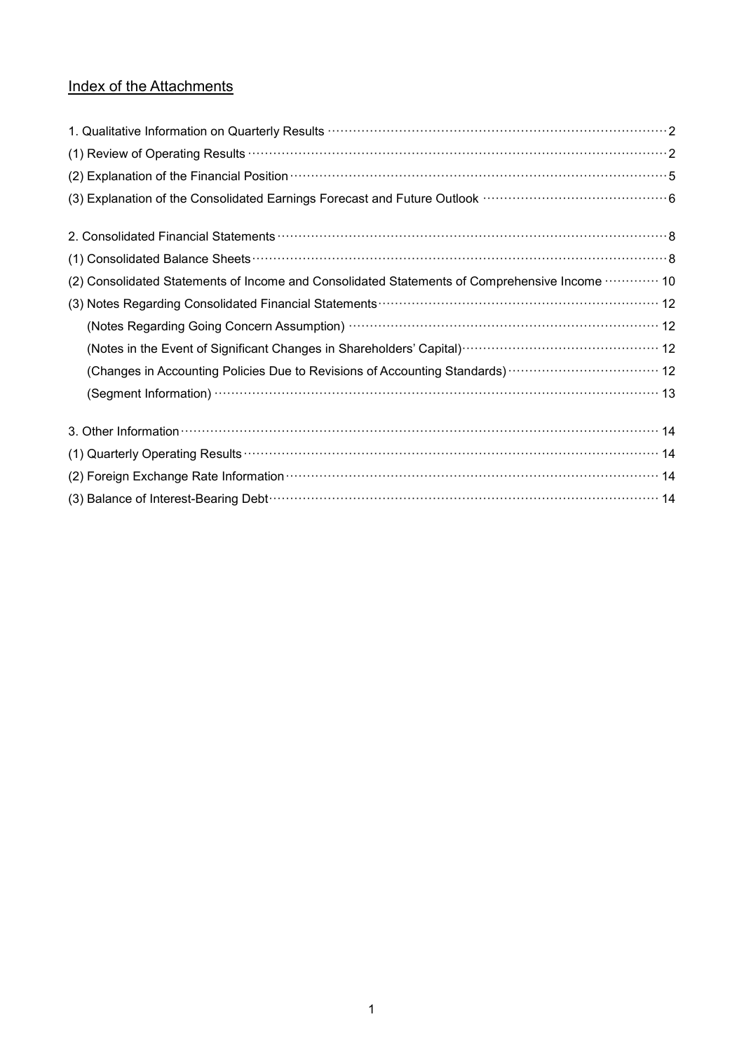# Index of the Attachments

| 1. Qualitative Information on Quarterly Results <b>With Construction Construction</b> 2                                |
|------------------------------------------------------------------------------------------------------------------------|
|                                                                                                                        |
| (2) Explanation of the Financial Position manufactured control and the State of the Financial Position manufactured by |
|                                                                                                                        |
|                                                                                                                        |
|                                                                                                                        |
| (2) Consolidated Statements of Income and Consolidated Statements of Comprehensive Income  10                          |
|                                                                                                                        |
|                                                                                                                        |
|                                                                                                                        |
| (Changes in Accounting Policies Due to Revisions of Accounting Standards) ··································· 12       |
|                                                                                                                        |
|                                                                                                                        |
|                                                                                                                        |
| (2) Foreign Exchange Rate Information (1999) 14 (2) Foreign Exchange Rate Information (14                              |
|                                                                                                                        |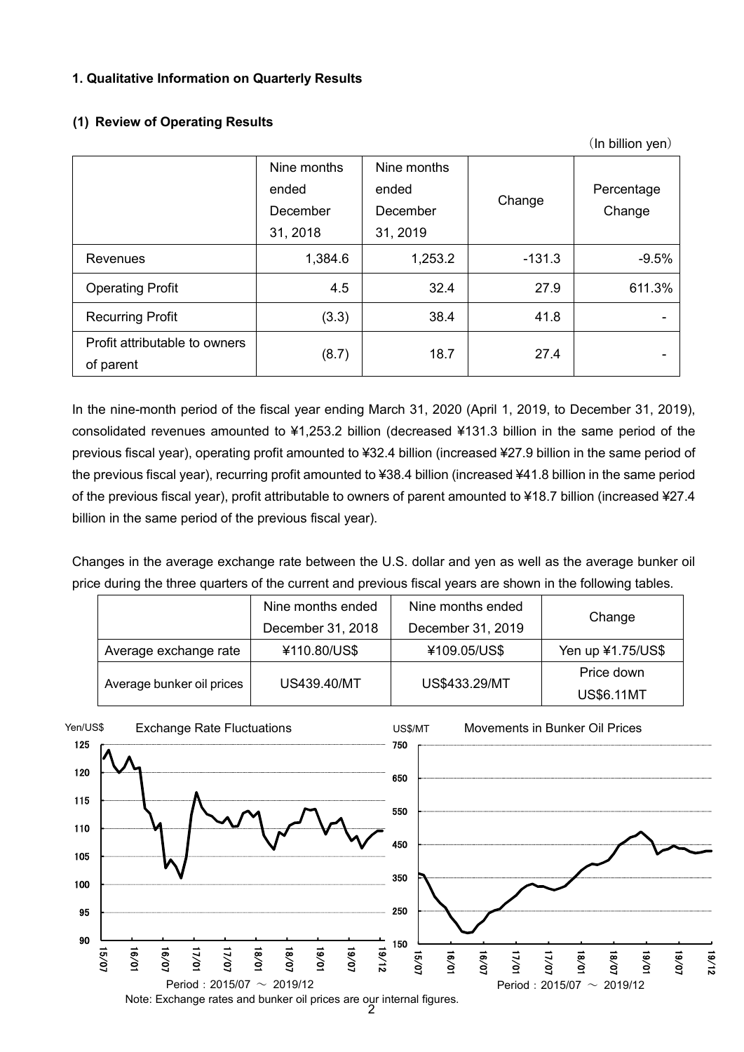#### **1. Qualitative Information on Quarterly Results**

## **(1) Review of Operating Results**

|                                            |                                              |                                              |          | (In billion yen)     |
|--------------------------------------------|----------------------------------------------|----------------------------------------------|----------|----------------------|
|                                            | Nine months<br>ended<br>December<br>31, 2018 | Nine months<br>ended<br>December<br>31, 2019 | Change   | Percentage<br>Change |
| <b>Revenues</b>                            | 1,384.6                                      | 1,253.2                                      | $-131.3$ | $-9.5%$              |
| <b>Operating Profit</b>                    | 4.5                                          | 32.4                                         | 27.9     | 611.3%               |
| <b>Recurring Profit</b>                    | (3.3)                                        | 38.4                                         | 41.8     |                      |
| Profit attributable to owners<br>of parent | (8.7)                                        | 18.7                                         | 27.4     |                      |

In the nine-month period of the fiscal year ending March 31, 2020 (April 1, 2019, to December 31, 2019), consolidated revenues amounted to ¥1,253.2 billion (decreased ¥131.3 billion in the same period of the previous fiscal year), operating profit amounted to ¥32.4 billion (increased ¥27.9 billion in the same period of the previous fiscal year), recurring profit amounted to ¥38.4 billion (increased ¥41.8 billion in the same period of the previous fiscal year), profit attributable to owners of parent amounted to ¥18.7 billion (increased ¥27.4 billion in the same period of the previous fiscal year).

Changes in the average exchange rate between the U.S. dollar and yen as well as the average bunker oil price during the three quarters of the current and previous fiscal years are shown in the following tables.

|                           | Nine months ended | Nine months ended |                   |
|---------------------------|-------------------|-------------------|-------------------|
|                           | December 31, 2018 | December 31, 2019 | Change            |
| Average exchange rate     | ¥110.80/US\$      | ¥109.05/US\$      | Yen up ¥1.75/US\$ |
|                           |                   |                   | Price down        |
| Average bunker oil prices | US439.40/MT       | US\$433.29/MT     | <b>US\$6.11MT</b> |

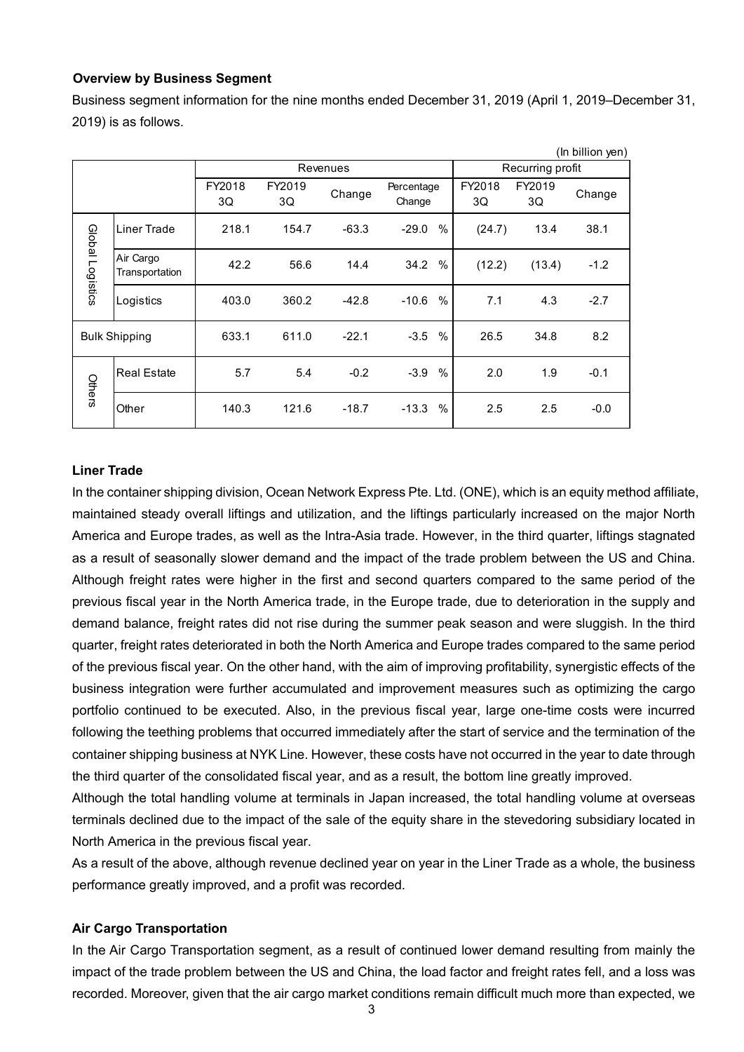#### **Overview by Business Segment**

Business segment information for the nine months ended December 31, 2019 (April 1, 2019–December 31, 2019) is as follows.

|                  |                             |              |              |          |                         |              |                  | (In billion yen) |
|------------------|-----------------------------|--------------|--------------|----------|-------------------------|--------------|------------------|------------------|
|                  |                             |              |              | Revenues |                         |              | Recurring profit |                  |
|                  |                             | FY2018<br>3Q | FY2019<br>3Q | Change   | Percentage<br>Change    | FY2018<br>3Q | FY2019<br>3Q     | Change           |
|                  | Liner Trade                 | 218.1        | 154.7        | $-63.3$  | $\%$<br>$-29.0$         | (24.7)       | 13.4             | 38.1             |
| Global Logistics | Air Cargo<br>Transportation | 42.2         | 56.6         | 14.4     | 34.2<br>$\%$            | (12.2)       | (13.4)           | $-1.2$           |
|                  | Logistics                   | 403.0        | 360.2        | $-42.8$  | $\%$<br>$-10.6$         | 7.1          | 4.3              | $-2.7$           |
|                  | <b>Bulk Shipping</b>        | 633.1        | 611.0        | $-22.1$  | $\frac{0}{0}$<br>$-3.5$ | 26.5         | 34.8             | 8.2              |
| Others           | <b>Real Estate</b>          | 5.7          | 5.4          | $-0.2$   | $\frac{0}{0}$<br>$-3.9$ | 2.0          | 1.9              | $-0.1$           |
|                  | Other                       | 140.3        | 121.6        | $-18.7$  | $\%$<br>$-13.3$         | 2.5          | 2.5              | $-0.0$           |

#### **Liner Trade**

In the container shipping division, Ocean Network Express Pte. Ltd. (ONE), which is an equity method affiliate, maintained steady overall liftings and utilization, and the liftings particularly increased on the major North America and Europe trades, as well as the Intra-Asia trade. However, in the third quarter, liftings stagnated as a result of seasonally slower demand and the impact of the trade problem between the US and China. Although freight rates were higher in the first and second quarters compared to the same period of the previous fiscal year in the North America trade, in the Europe trade, due to deterioration in the supply and demand balance, freight rates did not rise during the summer peak season and were sluggish. In the third quarter, freight rates deteriorated in both the North America and Europe trades compared to the same period of the previous fiscal year. On the other hand, with the aim of improving profitability, synergistic effects of the business integration were further accumulated and improvement measures such as optimizing the cargo portfolio continued to be executed. Also, in the previous fiscal year, large one-time costs were incurred following the teething problems that occurred immediately after the start of service and the termination of the container shipping business at NYK Line. However, these costs have not occurred in the year to date through the third quarter of the consolidated fiscal year, and as a result, the bottom line greatly improved.

Although the total handling volume at terminals in Japan increased, the total handling volume at overseas terminals declined due to the impact of the sale of the equity share in the stevedoring subsidiary located in North America in the previous fiscal year.

As a result of the above, although revenue declined year on year in the Liner Trade as a whole, the business performance greatly improved, and a profit was recorded.

#### **Air Cargo Transportation**

In the Air Cargo Transportation segment, as a result of continued lower demand resulting from mainly the impact of the trade problem between the US and China, the load factor and freight rates fell, and a loss was recorded. Moreover, given that the air cargo market conditions remain difficult much more than expected, we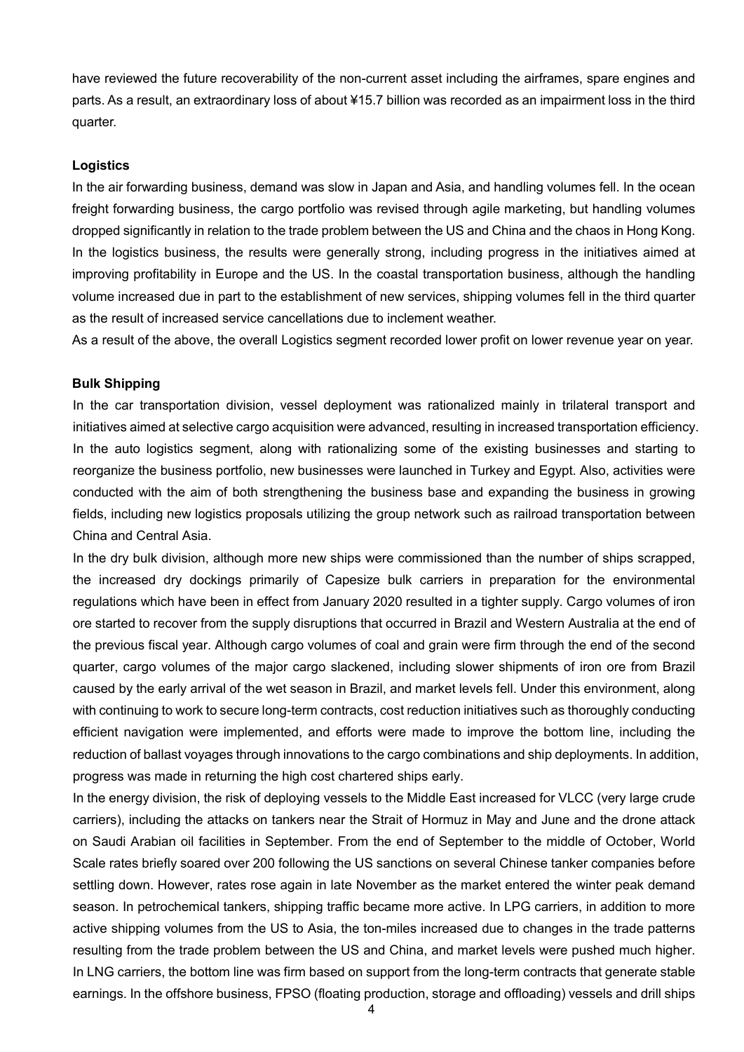have reviewed the future recoverability of the non-current asset including the airframes, spare engines and parts. As a result, an extraordinary loss of about ¥15.7 billion was recorded as an impairment loss in the third quarter.

#### **Logistics**

In the air forwarding business, demand was slow in Japan and Asia, and handling volumes fell. In the ocean freight forwarding business, the cargo portfolio was revised through agile marketing, but handling volumes dropped significantly in relation to the trade problem between the US and China and the chaos in Hong Kong. In the logistics business, the results were generally strong, including progress in the initiatives aimed at improving profitability in Europe and the US. In the coastal transportation business, although the handling volume increased due in part to the establishment of new services, shipping volumes fell in the third quarter as the result of increased service cancellations due to inclement weather.

As a result of the above, the overall Logistics segment recorded lower profit on lower revenue year on year.

#### **Bulk Shipping**

In the car transportation division, vessel deployment was rationalized mainly in trilateral transport and initiatives aimed at selective cargo acquisition were advanced, resulting in increased transportation efficiency. In the auto logistics segment, along with rationalizing some of the existing businesses and starting to reorganize the business portfolio, new businesses were launched in Turkey and Egypt. Also, activities were conducted with the aim of both strengthening the business base and expanding the business in growing fields, including new logistics proposals utilizing the group network such as railroad transportation between China and Central Asia.

In the dry bulk division, although more new ships were commissioned than the number of ships scrapped, the increased dry dockings primarily of Capesize bulk carriers in preparation for the environmental regulations which have been in effect from January 2020 resulted in a tighter supply. Cargo volumes of iron ore started to recover from the supply disruptions that occurred in Brazil and Western Australia at the end of the previous fiscal year. Although cargo volumes of coal and grain were firm through the end of the second quarter, cargo volumes of the major cargo slackened, including slower shipments of iron ore from Brazil caused by the early arrival of the wet season in Brazil, and market levels fell. Under this environment, along with continuing to work to secure long-term contracts, cost reduction initiatives such as thoroughly conducting efficient navigation were implemented, and efforts were made to improve the bottom line, including the reduction of ballast voyages through innovations to the cargo combinations and ship deployments. In addition, progress was made in returning the high cost chartered ships early.

In the energy division, the risk of deploying vessels to the Middle East increased for VLCC (very large crude carriers), including the attacks on tankers near the Strait of Hormuz in May and June and the drone attack on Saudi Arabian oil facilities in September. From the end of September to the middle of October, World Scale rates briefly soared over 200 following the US sanctions on several Chinese tanker companies before settling down. However, rates rose again in late November as the market entered the winter peak demand season. In petrochemical tankers, shipping traffic became more active. In LPG carriers, in addition to more active shipping volumes from the US to Asia, the ton-miles increased due to changes in the trade patterns resulting from the trade problem between the US and China, and market levels were pushed much higher. In LNG carriers, the bottom line was firm based on support from the long-term contracts that generate stable earnings. In the offshore business, FPSO (floating production, storage and offloading) vessels and drill ships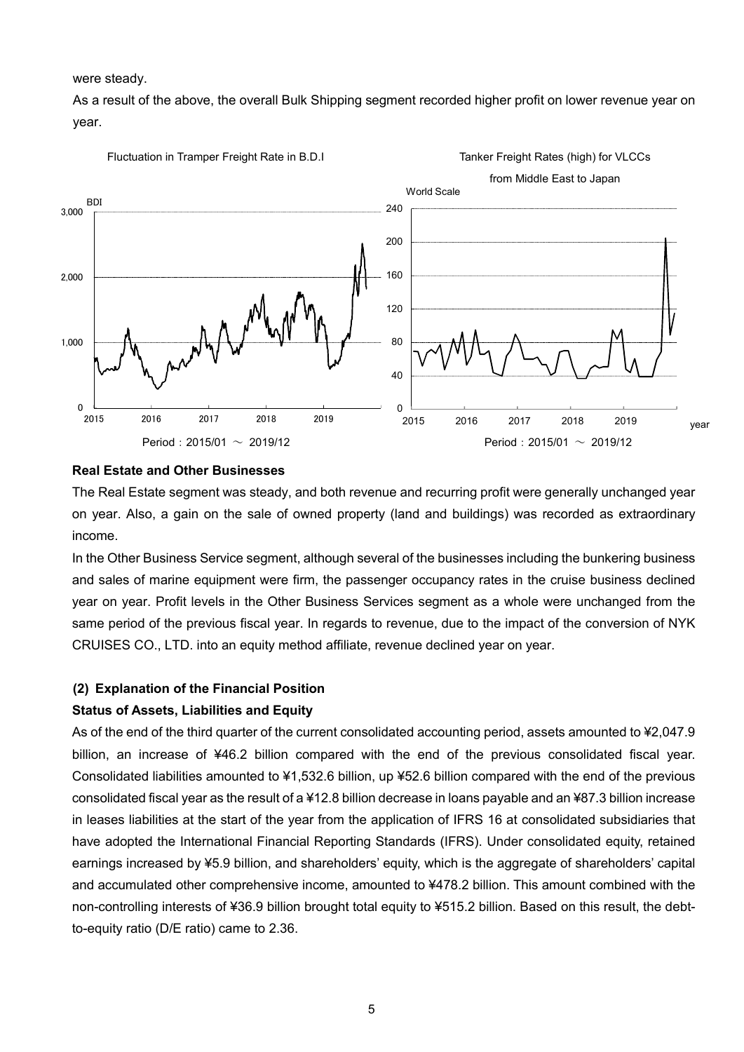were steady.

As a result of the above, the overall Bulk Shipping segment recorded higher profit on lower revenue year on year.



#### **Real Estate and Other Businesses**

The Real Estate segment was steady, and both revenue and recurring profit were generally unchanged year on year. Also, a gain on the sale of owned property (land and buildings) was recorded as extraordinary income.

In the Other Business Service segment, although several of the businesses including the bunkering business and sales of marine equipment were firm, the passenger occupancy rates in the cruise business declined year on year. Profit levels in the Other Business Services segment as a whole were unchanged from the same period of the previous fiscal year. In regards to revenue, due to the impact of the conversion of NYK CRUISES CO., LTD. into an equity method affiliate, revenue declined year on year.

#### **(2) Explanation of the Financial Position**

#### **Status of Assets, Liabilities and Equity**

As of the end of the third quarter of the current consolidated accounting period, assets amounted to ¥2,047.9 billion, an increase of ¥46.2 billion compared with the end of the previous consolidated fiscal year. Consolidated liabilities amounted to ¥1,532.6 billion, up ¥52.6 billion compared with the end of the previous consolidated fiscal year as the result of a ¥12.8 billion decrease in loans payable and an ¥87.3 billion increase in leases liabilities at the start of the year from the application of IFRS 16 at consolidated subsidiaries that have adopted the International Financial Reporting Standards (IFRS). Under consolidated equity, retained earnings increased by ¥5.9 billion, and shareholders' equity, which is the aggregate of shareholders' capital and accumulated other comprehensive income, amounted to ¥478.2 billion. This amount combined with the non-controlling interests of ¥36.9 billion brought total equity to ¥515.2 billion. Based on this result, the debtto-equity ratio (D/E ratio) came to 2.36.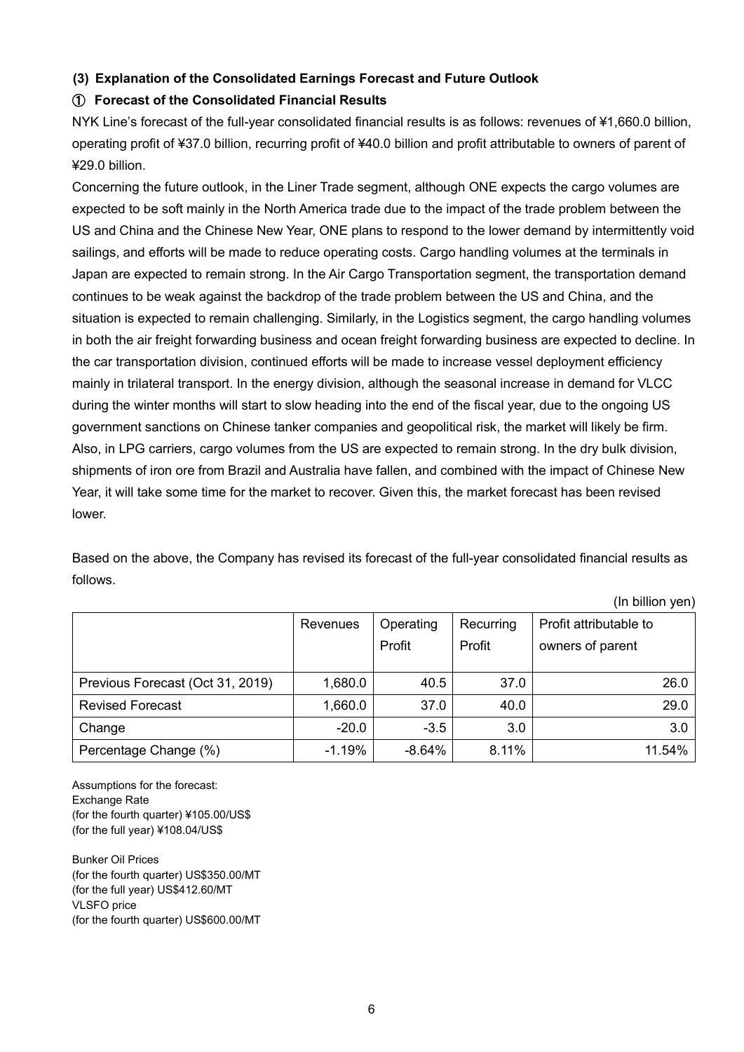## **(3) Explanation of the Consolidated Earnings Forecast and Future Outlook**

#### ① **Forecast of the Consolidated Financial Results**

NYK Line's forecast of the full-year consolidated financial results is as follows: revenues of ¥1,660.0 billion, operating profit of ¥37.0 billion, recurring profit of ¥40.0 billion and profit attributable to owners of parent of ¥29.0 billion.

Concerning the future outlook, in the Liner Trade segment, although ONE expects the cargo volumes are expected to be soft mainly in the North America trade due to the impact of the trade problem between the US and China and the Chinese New Year, ONE plans to respond to the lower demand by intermittently void sailings, and efforts will be made to reduce operating costs. Cargo handling volumes at the terminals in Japan are expected to remain strong. In the Air Cargo Transportation segment, the transportation demand continues to be weak against the backdrop of the trade problem between the US and China, and the situation is expected to remain challenging. Similarly, in the Logistics segment, the cargo handling volumes in both the air freight forwarding business and ocean freight forwarding business are expected to decline. In the car transportation division, continued efforts will be made to increase vessel deployment efficiency mainly in trilateral transport. In the energy division, although the seasonal increase in demand for VLCC during the winter months will start to slow heading into the end of the fiscal year, due to the ongoing US government sanctions on Chinese tanker companies and geopolitical risk, the market will likely be firm. Also, in LPG carriers, cargo volumes from the US are expected to remain strong. In the dry bulk division, shipments of iron ore from Brazil and Australia have fallen, and combined with the impact of Chinese New Year, it will take some time for the market to recover. Given this, the market forecast has been revised lower.

Based on the above, the Company has revised its forecast of the full-year consolidated financial results as follows.

(In billion yen)

|                                  | Revenues | Operating<br>Profit | Recurring<br>Profit | Profit attributable to<br>owners of parent |
|----------------------------------|----------|---------------------|---------------------|--------------------------------------------|
| Previous Forecast (Oct 31, 2019) | 1,680.0  | 40.5                | 37.0                | 26.0                                       |
| <b>Revised Forecast</b>          | 1,660.0  | 37.0                | 40.0                | 29.0                                       |
| Change                           | $-20.0$  | $-3.5$              | 3.0                 | 3.0                                        |
| Percentage Change (%)            | $-1.19%$ | $-8.64%$            | 8.11%               | 11.54%                                     |

Assumptions for the forecast: Exchange Rate (for the fourth quarter) ¥105.00/US\$ (for the full year) ¥108.04/US\$

Bunker Oil Prices (for the fourth quarter) US\$350.00/MT (for the full year) US\$412.60/MT VLSFO price (for the fourth quarter) US\$600.00/MT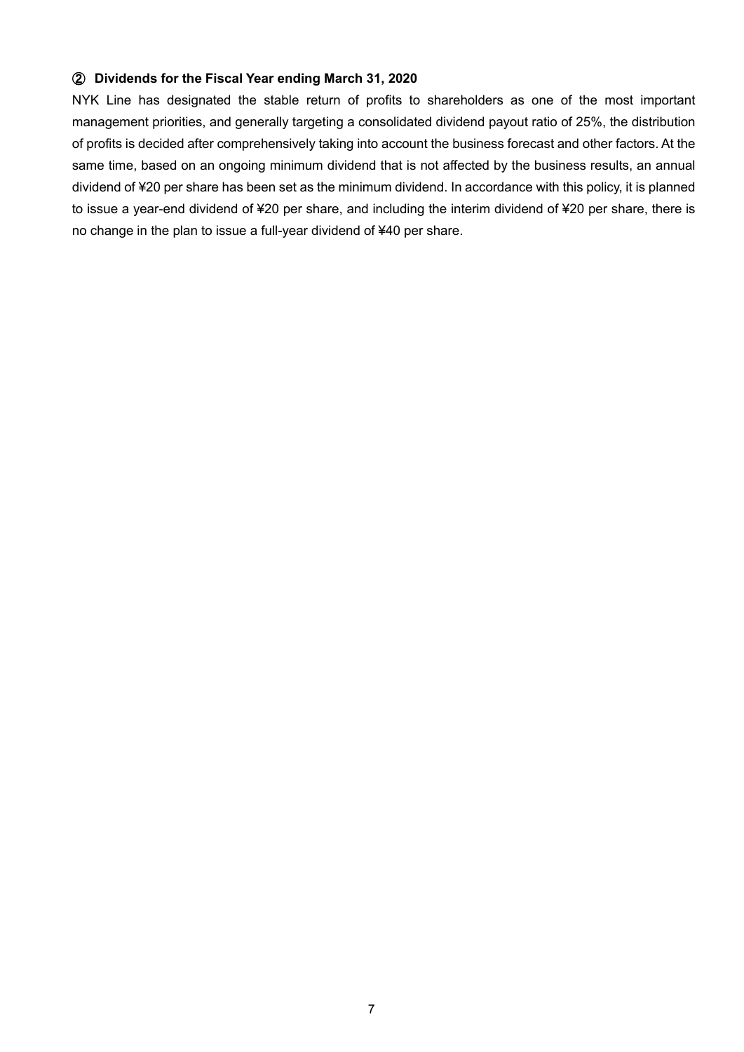#### ② **Dividends for the Fiscal Year ending March 31, 2020**

NYK Line has designated the stable return of profits to shareholders as one of the most important management priorities, and generally targeting a consolidated dividend payout ratio of 25%, the distribution of profits is decided after comprehensively taking into account the business forecast and other factors. At the same time, based on an ongoing minimum dividend that is not affected by the business results, an annual dividend of ¥20 per share has been set as the minimum dividend. In accordance with this policy, it is planned to issue a year-end dividend of ¥20 per share, and including the interim dividend of ¥20 per share, there is no change in the plan to issue a full-year dividend of ¥40 per share.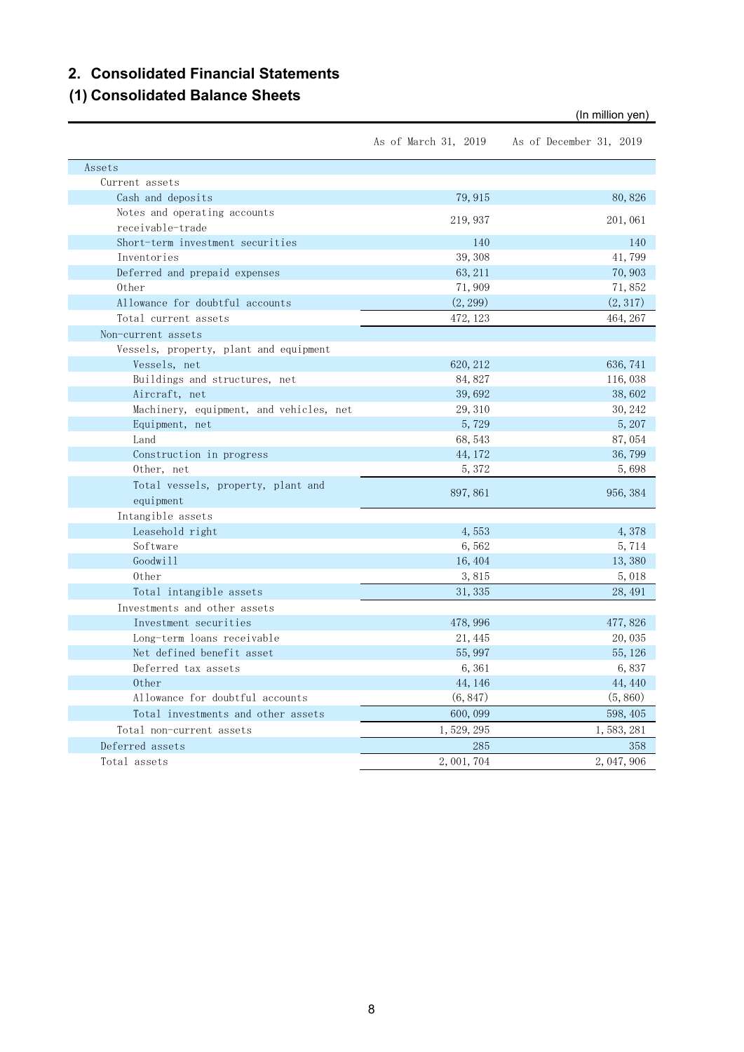## **2. Consolidated Financial Statements**

# **(1) Consolidated Balance Sheets**

As of March 31, 2019 As of December 31, 2019 Assets Current assets  $\cosh$  and deposits  $\cosh$  79,915  $\cosh$  80,826 Notes and operating accounts receivable-trade 219,937 201,061 Short-term investment securities 140 140 140 140 Inventories 39,308 41,799 Deferred and prepaid expenses 63,211 70,903 Other 71, 909 71, 852 Allowance for doubtful accounts (2,299) (2,317) Total current assets 472, 123 464, 267 Non-current assets Vessels, property, plant and equipment Vessels, net 620, 212 636, 741 636, 741 636, 741 636, 741 636, 741 636, 741 636, 741 636, 741 636, 741 636, 741 636, 741 636, 741 636, 741 636, 741 636, 741 636, 741 636, 741 636, 741 636, 741 636, 741 636, 741 636, 741 63 Buildings and structures, net 84,827 116,038 Aircraft, net 39,692 38,602 Machinery, equipment, and vehicles, net 29,310 30,242 Equipment, net  $5,729$   $5,207$ Land 68,543 87,054 Construction in progress  $44,172$   $36,799$ Other, net 5,372 5,698 Total vessels, property, plant and equipment 897,861 956,384 Intangible assets Leasehold right 4, 553 4, 378  $Sofware$  5,714  $\rm Godwill$  . The contract of the contract of the contract of the contract of the contract of the contract of the contract of the contract of the contract of the contract of the contract of the contract of the contract of the Other 3,815 5,018 Total intangible assets 31,335 28,491 Investments and other assets Investment securities 478,996 477,826 Long-term loans receivable 21,445 20,035 Net defined benefit asset 55,997 55,126 Deferred tax assets 6,361 6,837 Other  $\begin{array}{cccccccccc} 44,146 \end{array}$  44,440 Allowance for doubtful accounts (6,847) (5,860) Total investments and other assets 600,099 598,405 Total non-current assets 1,529,295 1,583,281 Deferred assets 285 358 Total assets 2,001,704 2,047,906

(In million yen)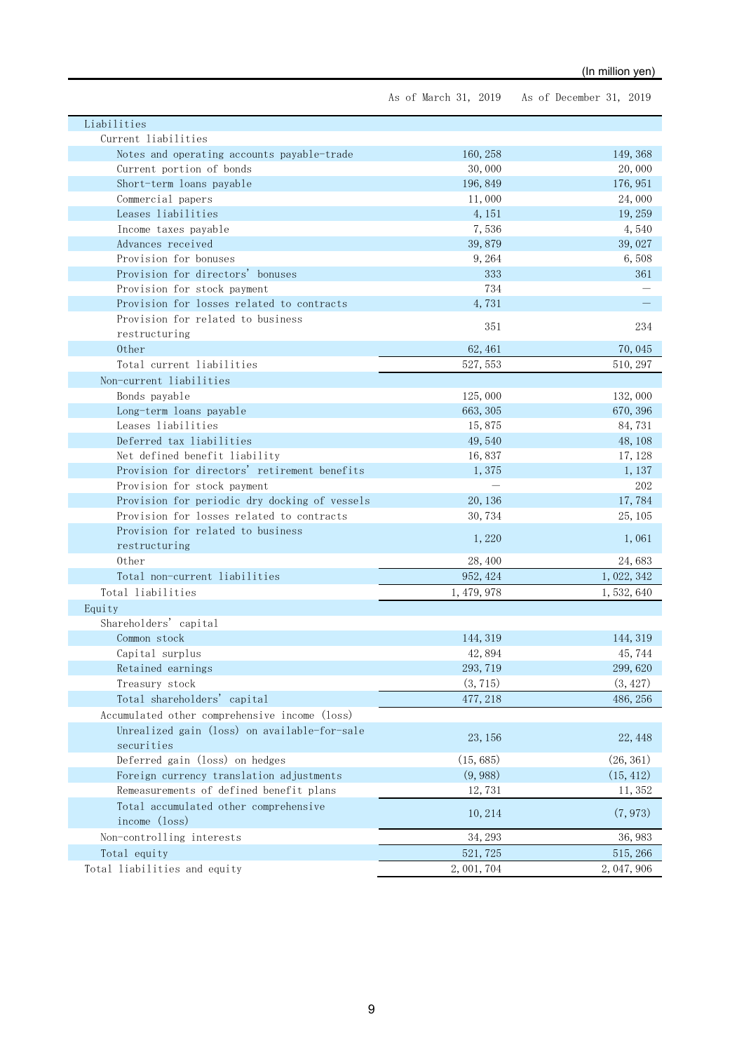As of March 31, 2019 As of December 31, 2019

| Liabilities                                   |             |             |
|-----------------------------------------------|-------------|-------------|
| Current liabilities                           |             |             |
| Notes and operating accounts payable-trade    | 160, 258    | 149, 368    |
| Current portion of bonds                      | 30,000      | 20,000      |
| Short-term loans payable                      | 196, 849    | 176, 951    |
| Commercial papers                             | 11,000      | 24,000      |
| Leases liabilities                            | 4, 151      | 19, 259     |
| Income taxes payable                          | 7,536       | 4,540       |
| Advances received                             | 39,879      | 39,027      |
| Provision for bonuses                         | 9,264       | 6,508       |
| Provision for directors' bonuses              | 333         | 361         |
| Provision for stock payment                   | 734         |             |
| Provision for losses related to contracts     | 4,731       |             |
| Provision for related to business             | 351         | 234         |
| restructuring                                 |             |             |
| Other                                         | 62, 461     | 70,045      |
| Total current liabilities                     | 527, 553    | 510, 297    |
| Non-current liabilities                       |             |             |
| Bonds payable                                 | 125,000     | 132,000     |
| Long-term loans payable                       | 663, 305    | 670, 396    |
| Leases liabilities                            | 15,875      | 84,731      |
| Deferred tax liabilities                      | 49,540      | 48, 108     |
| Net defined benefit liability                 | 16,837      | 17, 128     |
| Provision for directors' retirement benefits  | 1,375       | 1, 137      |
| Provision for stock payment                   |             | 202         |
| Provision for periodic dry docking of vessels | 20, 136     | 17,784      |
| Provision for losses related to contracts     | 30,734      | 25, 105     |
| Provision for related to business             | 1,220       | 1,061       |
| restructuring                                 |             |             |
| 0ther                                         | 28,400      | 24,683      |
| Total non-current liabilities                 | 952, 424    | 1, 022, 342 |
| Total liabilities                             | 1, 479, 978 | 1,532,640   |
| Equity                                        |             |             |
| Shareholders' capital                         |             |             |
| Common stock                                  | 144, 319    | 144, 319    |
| Capital surplus                               | 42,894      | 45,744      |
| Retained earnings                             | 293, 719    | 299,620     |
| Treasury stock                                | (3, 715)    | (3, 427)    |
| Total shareholders' capital                   | 477, 218    | 486, 256    |
| Accumulated other comprehensive income (loss) |             |             |
| Unrealized gain (loss) on available-for-sale  |             |             |
| securities                                    | 23, 156     | 22, 448     |
| Deferred gain (loss) on hedges                | (15, 685)   | (26, 361)   |
| Foreign currency translation adjustments      | (9, 988)    | (15, 412)   |
| Remeasurements of defined benefit plans       | 12,731      | 11,352      |
| Total accumulated other comprehensive         |             |             |
| income (loss)                                 | 10, 214     | (7, 973)    |
| Non-controlling interests                     | 34, 293     | 36, 983     |
| Total equity                                  | 521, 725    | 515, 266    |
| Total liabilities and equity                  | 2, 001, 704 | 2, 047, 906 |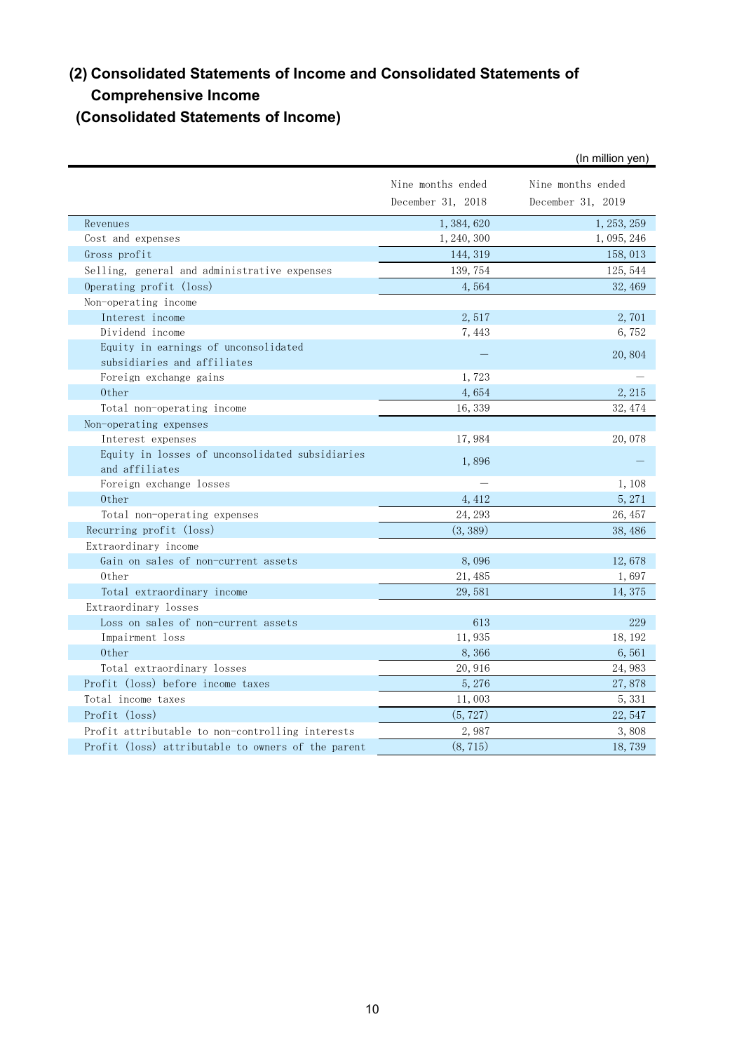# **(2) Consolidated Statements of Income and Consolidated Statements of Comprehensive Income**

# **(Consolidated Statements of Income)**

|                                                                   |                   | (In million yen)  |
|-------------------------------------------------------------------|-------------------|-------------------|
|                                                                   | Nine months ended | Nine months ended |
|                                                                   | December 31, 2018 | December 31, 2019 |
| Revenues                                                          | 1,384,620         | 1, 253, 259       |
| Cost and expenses                                                 | 1, 240, 300       | 1, 095, 246       |
| Gross profit                                                      | 144, 319          | 158, 013          |
| Selling, general and administrative expenses                      | 139, 754          | 125, 544          |
| Operating profit (loss)                                           | 4,564             | 32, 469           |
| Non-operating income                                              |                   |                   |
| Interest income                                                   | 2,517             | 2,701             |
| Dividend income                                                   | 7,443             | 6,752             |
| Equity in earnings of unconsolidated                              |                   | 20,804            |
| subsidiaries and affiliates                                       |                   |                   |
| Foreign exchange gains                                            | 1,723             |                   |
| 0ther                                                             | 4,654             | 2, 215            |
| Total non-operating income                                        | 16,339            | 32, 474           |
| Non-operating expenses                                            |                   |                   |
| Interest expenses                                                 | 17,984            | 20,078            |
| Equity in losses of unconsolidated subsidiaries<br>and affiliates | 1,896             |                   |
| Foreign exchange losses                                           |                   | 1,108             |
| 0ther                                                             | 4, 412            | 5, 271            |
| Total non-operating expenses                                      | 24, 293           | 26, 457           |
| Recurring profit (loss)                                           | (3, 389)          | 38,486            |
| Extraordinary income                                              |                   |                   |
| Gain on sales of non-current assets                               | 8,096             | 12,678            |
| 0ther                                                             | 21, 485           | 1,697             |
| Total extraordinary income                                        | 29,581            | 14, 375           |
| Extraordinary losses                                              |                   |                   |
| Loss on sales of non-current assets                               | 613               | 229               |
| Impairment loss                                                   | 11,935            | 18, 192           |
| 0ther                                                             | 8,366             | 6,561             |
| Total extraordinary losses                                        | 20,916            | 24,983            |
| Profit (loss) before income taxes                                 | 5,276             | 27,878            |
| Total income taxes                                                | 11,003            | 5, 331            |
| Profit (loss)                                                     | (5, 727)          | 22,547            |
| Profit attributable to non-controlling interests                  | 2,987             | 3,808             |
| Profit (loss) attributable to owners of the parent                | (8, 715)          | 18,739            |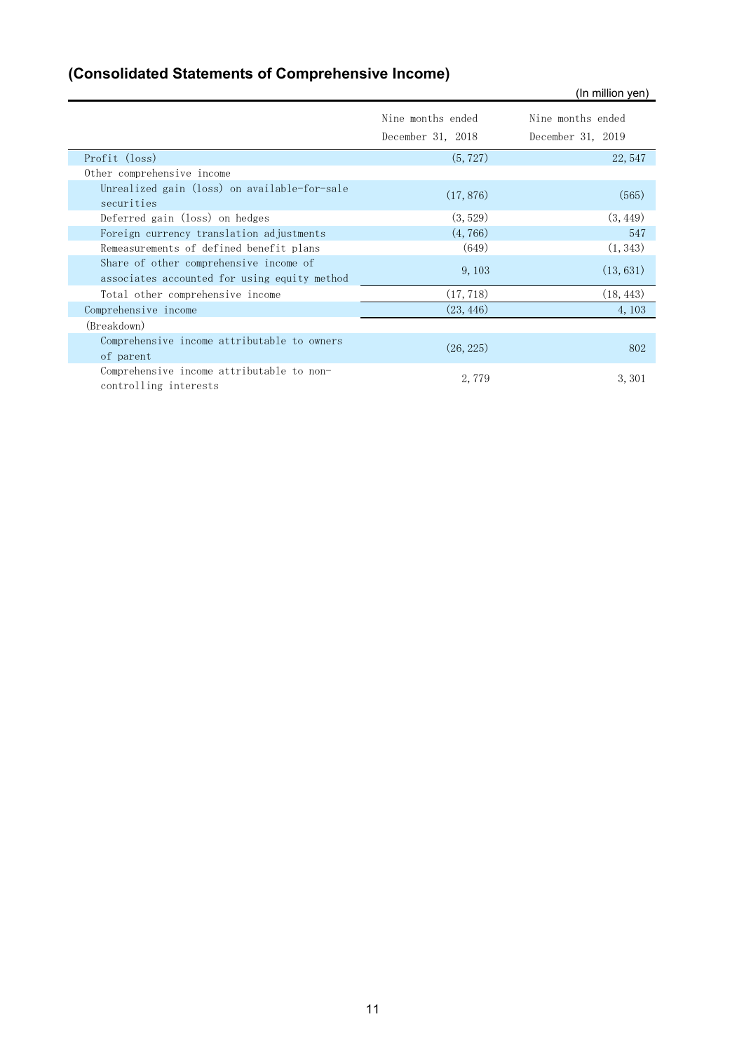# **(Consolidated Statements of Comprehensive Income)**

|                                                                                        |                                        | (In million yen)                       |
|----------------------------------------------------------------------------------------|----------------------------------------|----------------------------------------|
|                                                                                        | Nine months ended<br>December 31, 2018 | Nine months ended<br>December 31, 2019 |
| Profit (loss)                                                                          | (5, 727)                               | 22, 547                                |
| Other comprehensive income                                                             |                                        |                                        |
| Unrealized gain (loss) on available-for-sale<br>securities                             | (17, 876)                              | (565)                                  |
| Deferred gain (loss) on hedges                                                         | (3, 529)                               | (3, 449)                               |
| Foreign currency translation adjustments                                               | (4, 766)                               | 547                                    |
| Remeasurements of defined benefit plans                                                | (649)                                  | (1, 343)                               |
| Share of other comprehensive income of<br>associates accounted for using equity method | 9, 103                                 | (13, 631)                              |
| Total other comprehensive income                                                       | (17, 718)                              | (18, 443)                              |
| Comprehensive income                                                                   | (23, 446)                              | 4,103                                  |
| (Breakdown)                                                                            |                                        |                                        |
| Comprehensive income attributable to owners<br>of parent                               | (26, 225)                              | 802                                    |
| Comprehensive income attributable to non-<br>controlling interests                     | 2,779                                  | 3, 301                                 |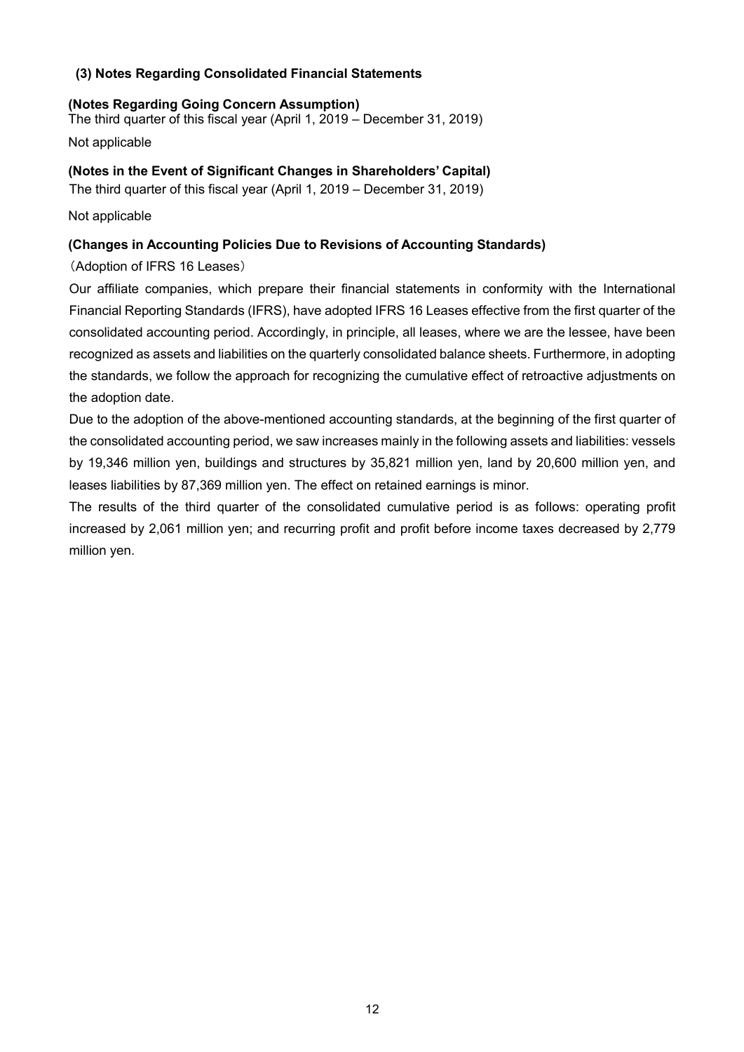# **(3) Notes Regarding Consolidated Financial Statements**

### **(Notes Regarding Going Concern Assumption)**

The third quarter of this fiscal year (April 1, 2019 – December 31, 2019)

Not applicable

## **(Notes in the Event of Significant Changes in Shareholders' Capital)**

The third quarter of this fiscal year (April 1, 2019 – December 31, 2019)

Not applicable

# **(Changes in Accounting Policies Due to Revisions of Accounting Standards)**

(Adoption of IFRS 16 Leases)

Our affiliate companies, which prepare their financial statements in conformity with the International Financial Reporting Standards (IFRS), have adopted IFRS 16 Leases effective from the first quarter of the consolidated accounting period. Accordingly, in principle, all leases, where we are the lessee, have been recognized as assets and liabilities on the quarterly consolidated balance sheets. Furthermore, in adopting the standards, we follow the approach for recognizing the cumulative effect of retroactive adjustments on the adoption date.

Due to the adoption of the above-mentioned accounting standards, at the beginning of the first quarter of the consolidated accounting period, we saw increases mainly in the following assets and liabilities: vessels by 19,346 million yen, buildings and structures by 35,821 million yen, land by 20,600 million yen, and leases liabilities by 87,369 million yen. The effect on retained earnings is minor.

The results of the third quarter of the consolidated cumulative period is as follows: operating profit increased by 2,061 million yen; and recurring profit and profit before income taxes decreased by 2,779 million yen.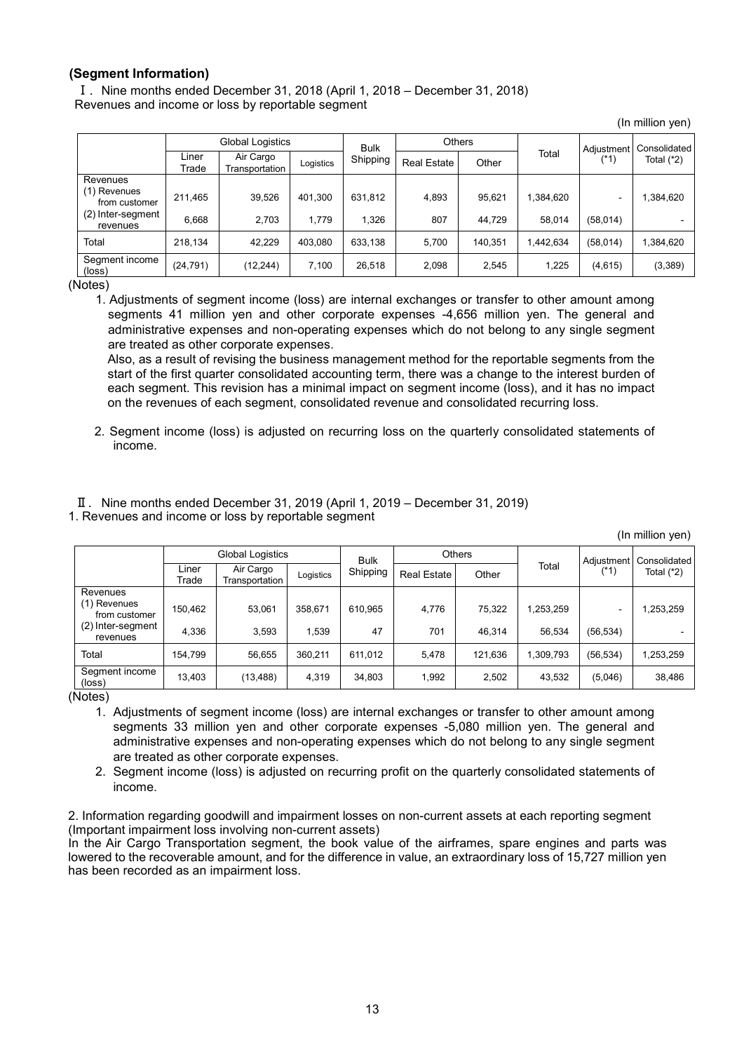#### **(Segment Information)**

Ⅰ. Nine months ended December 31, 2018 (April 1, 2018 – December 31, 2018) Revenues and income or loss by reportable segment

(In million yen)

|                                                                            |                  | Global Logistics            |                  | <b>Others</b><br><b>Bulk</b> |                    |                  |                     | Adjustment                           | Consolidated |
|----------------------------------------------------------------------------|------------------|-----------------------------|------------------|------------------------------|--------------------|------------------|---------------------|--------------------------------------|--------------|
|                                                                            | Liner<br>Trade   | Air Cargo<br>Transportation | Logistics        | Shipping                     | <b>Real Estate</b> | Other            | Total               | (*1)                                 | Total $(*2)$ |
| Revenues<br>(1) Revenues<br>from customer<br>(2) Inter-segment<br>revenues | 211,465<br>6.668 | 39,526<br>2.703             | 401.300<br>1.779 | 631,812<br>1.326             | 4,893<br>807       | 95,621<br>44.729 | 1,384,620<br>58.014 | $\overline{\phantom{0}}$<br>(58,014) | ,384,620     |
| Total                                                                      | 218.134          | 42.229                      | 403.080          | 633,138                      | 5.700              | 140,351          | 1.442.634           | (58, 014)                            | ,384,620     |
| Segment income<br>(loss)                                                   | (24, 791)        | (12, 244)                   | 7.100            | 26,518                       | 2.098              | 2,545            | 1,225               | (4,615)                              | (3,389)      |

(Notes)

1. Adjustments of segment income (loss) are internal exchanges or transfer to other amount among segments 41 million yen and other corporate expenses -4,656 million yen. The general and administrative expenses and non-operating expenses which do not belong to any single segment are treated as other corporate expenses.

Also, as a result of revising the business management method for the reportable segments from the start of the first quarter consolidated accounting term, there was a change to the interest burden of each segment. This revision has a minimal impact on segment income (loss), and it has no impact on the revenues of each segment, consolidated revenue and consolidated recurring loss.

2. Segment income (loss) is adjusted on recurring loss on the quarterly consolidated statements of income.

Ⅱ. Nine months ended December 31, 2019 (April 1, 2019 – December 31, 2019) 1. Revenues and income or loss by reportable segment

(In million yen)

|                                   | Global Logistics |                             | <b>Others</b><br><b>Bulk</b> |          |                    |         | Adjustment   Consolidated |           |              |
|-----------------------------------|------------------|-----------------------------|------------------------------|----------|--------------------|---------|---------------------------|-----------|--------------|
|                                   | Liner<br>Trade   | Air Cargo<br>Transportation | Logistics                    | Shipping | <b>Real Estate</b> | Other   | Total                     | (*1)      | Total $(*2)$ |
| Revenues                          |                  |                             |                              |          |                    |         |                           |           |              |
| (1) Revenues<br>from customer     | 150.462          | 53,061                      | 358.671                      | 610,965  | 4,776              | 75.322  | 1,253,259                 |           | 1,253,259    |
| (2) Inter-segment<br>revenues     | 4.336            | 3.593                       | 1.539                        | 47       | 701                | 46.314  | 56.534                    | (56, 534) |              |
| Total                             | 154.799          | 56,655                      | 360.211                      | 611,012  | 5,478              | 121,636 | 1,309,793                 | (56, 534) | 1,253,259    |
| Segment income<br>$(\text{loss})$ | 13,403           | (13, 488)                   | 4.319                        | 34,803   | 1.992              | 2,502   | 43,532                    | (5,046)   | 38,486       |

(Notes)

- 1. Adjustments of segment income (loss) are internal exchanges or transfer to other amount among segments 33 million yen and other corporate expenses -5,080 million yen. The general and administrative expenses and non-operating expenses which do not belong to any single segment are treated as other corporate expenses.
- 2. Segment income (loss) is adjusted on recurring profit on the quarterly consolidated statements of income.

2. Information regarding goodwill and impairment losses on non-current assets at each reporting segment (Important impairment loss involving non-current assets)

In the Air Cargo Transportation segment, the book value of the airframes, spare engines and parts was lowered to the recoverable amount, and for the difference in value, an extraordinary loss of 15,727 million yen has been recorded as an impairment loss.